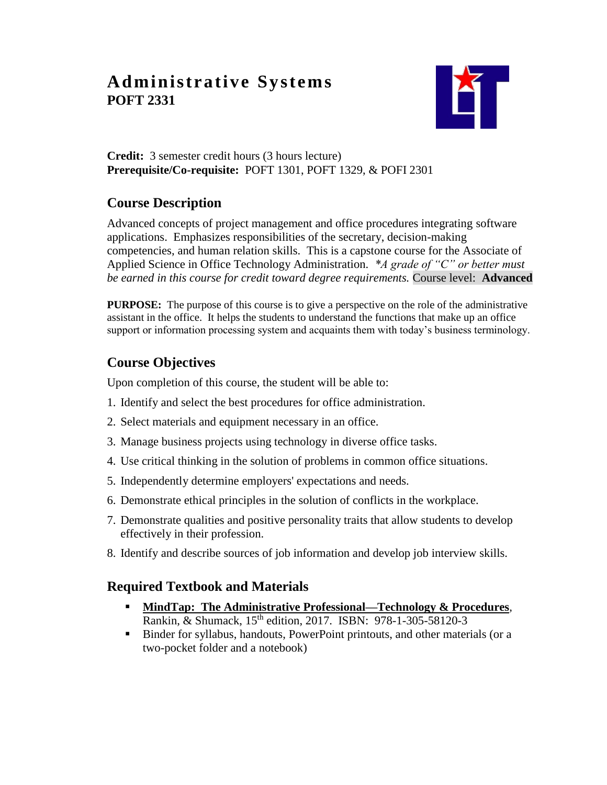# **Administrative Systems POFT 2331**



#### **Credit:** 3 semester credit hours (3 hours lecture) **Prerequisite/Co-requisite:** POFT 1301, POFT 1329, & POFI 2301

# **Course Description**

Advanced concepts of project management and office procedures integrating software applications. Emphasizes responsibilities of the secretary, decision-making competencies, and human relation skills. This is a capstone course for the Associate of Applied Science in Office Technology Administration. *\*A grade of "C" or better must be earned in this course for credit toward degree requirements.* Course level: **Advanced**

**PURPOSE:** The purpose of this course is to give a perspective on the role of the administrative assistant in the office. It helps the students to understand the functions that make up an office support or information processing system and acquaints them with today's business terminology.

## **Course Objectives**

Upon completion of this course, the student will be able to:

- 1. Identify and select the best procedures for office administration.
- 2. Select materials and equipment necessary in an office.
- 3. Manage business projects using technology in diverse office tasks.
- 4. Use critical thinking in the solution of problems in common office situations.
- 5. Independently determine employers' expectations and needs.
- 6. Demonstrate ethical principles in the solution of conflicts in the workplace.
- 7. Demonstrate qualities and positive personality traits that allow students to develop effectively in their profession.
- 8. Identify and describe sources of job information and develop job interview skills.

### **Required Textbook and Materials**

- **MindTap: The Administrative Professional—Technology & Procedures***,* Rankin, & Shumack, 15<sup>th</sup> edition, 2017. ISBN: 978-1-305-58120-3
- Binder for syllabus, handouts, PowerPoint printouts, and other materials (or a two-pocket folder and a notebook)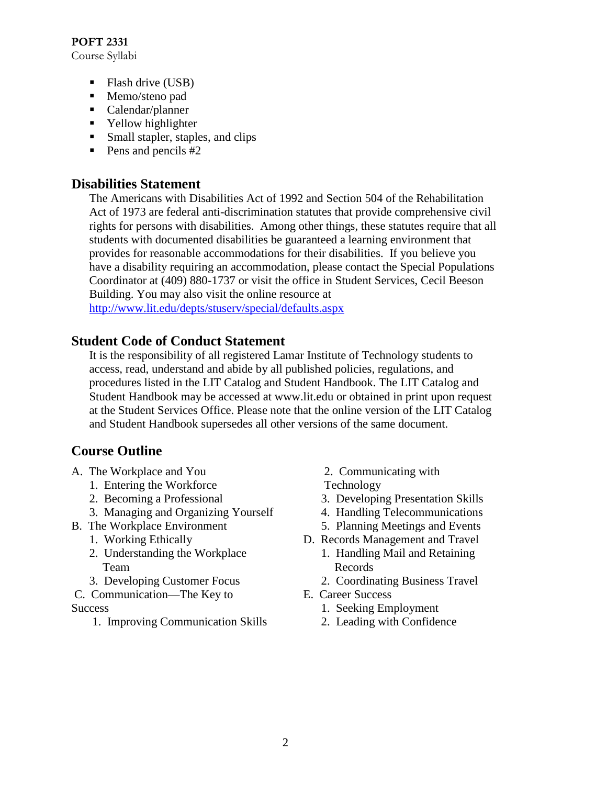**POFT 2331** Course Syllabi

- $\blacksquare$  Flash drive (USB)
- Memo/steno pad
- Calendar/planner
- Yellow highlighter
- Small stapler, staples, and clips
- $\blacksquare$  Pens and pencils #2

#### **Disabilities Statement**

The Americans with Disabilities Act of 1992 and Section 504 of the Rehabilitation Act of 1973 are federal anti-discrimination statutes that provide comprehensive civil rights for persons with disabilities. Among other things, these statutes require that all students with documented disabilities be guaranteed a learning environment that provides for reasonable accommodations for their disabilities. If you believe you have a disability requiring an accommodation, please contact the Special Populations Coordinator at (409) 880-1737 or visit the office in Student Services, Cecil Beeson Building. You may also visit the online resource at <http://www.lit.edu/depts/stuserv/special/defaults.aspx>

#### **Student Code of Conduct Statement**

It is the responsibility of all registered Lamar Institute of Technology students to access, read, understand and abide by all published policies, regulations, and procedures listed in the LIT Catalog and Student Handbook. The LIT Catalog and Student Handbook may be accessed at www.lit.edu or obtained in print upon request at the Student Services Office. Please note that the online version of the LIT Catalog and Student Handbook supersedes all other versions of the same document.

#### **Course Outline**

- A. The Workplace and You
	- 1. Entering the Workforce
	- 2. Becoming a Professional
	- 3. Managing and Organizing Yourself
- B. The Workplace Environment
	- 1. Working Ethically
	- 2. Understanding the Workplace Team
	- 3. Developing Customer Focus
- C. Communication—The Key to **Success** 
	- 1. Improving Communication Skills
- 2. Communicating with
- Technology
- 3. Developing Presentation Skills
- 4. Handling Telecommunications
- 5. Planning Meetings and Events
- D. Records Management and Travel
	- 1. Handling Mail and Retaining Records
	- 2. Coordinating Business Travel
- E. Career Success
	- 1. Seeking Employment
	- 2. Leading with Confidence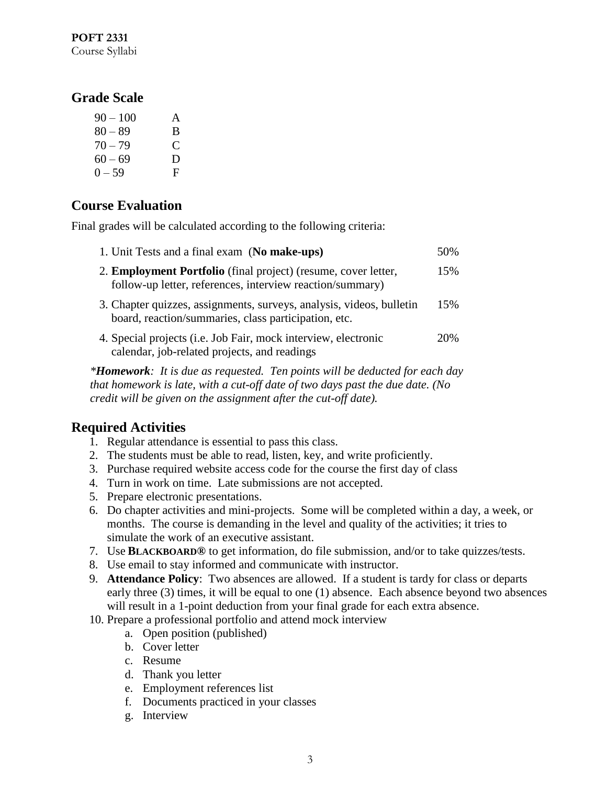#### **POFT 2331** Course Syllabi

### **Grade Scale**

| $90 - 100$ | A             |
|------------|---------------|
| $80 - 89$  | B             |
| $70 - 79$  | $\mathcal{C}$ |
| $60 - 69$  | D             |
| $0 - 59$   | F             |

## **Course Evaluation**

Final grades will be calculated according to the following criteria:

| 1. Unit Tests and a final exam (No make-ups)                                                                                 | 50% |
|------------------------------------------------------------------------------------------------------------------------------|-----|
| 2. Employment Portfolio (final project) (resume, cover letter,<br>follow-up letter, references, interview reaction/summary)  | 15% |
| 3. Chapter quizzes, assignments, surveys, analysis, videos, bulletin<br>board, reaction/summaries, class participation, etc. | 15% |
| 4. Special projects (i.e. Job Fair, mock interview, electronic<br>calendar, job-related projects, and readings               | 20% |

*\*Homework: It is due as requested. Ten points will be deducted for each day that homework is late, with a cut-off date of two days past the due date. (No credit will be given on the assignment after the cut-off date).*

### **Required Activities**

- 1. Regular attendance is essential to pass this class.
- 2. The students must be able to read, listen, key, and write proficiently.
- 3. Purchase required website access code for the course the first day of class
- 4. Turn in work on time. Late submissions are not accepted.
- 5. Prepare electronic presentations.
- 6. Do chapter activities and mini-projects. Some will be completed within a day, a week, or months. The course is demanding in the level and quality of the activities; it tries to simulate the work of an executive assistant.
- 7. Use **BLACKBOARD®** to get information, do file submission, and/or to take quizzes/tests.
- 8. Use email to stay informed and communicate with instructor.
- 9. **Attendance Policy**: Two absences are allowed. If a student is tardy for class or departs early three (3) times, it will be equal to one (1) absence. Each absence beyond two absences will result in a 1-point deduction from your final grade for each extra absence.
- 10. Prepare a professional portfolio and attend mock interview
	- a. Open position (published)
	- b. Cover letter
	- c. Resume
	- d. Thank you letter
	- e. Employment references list
	- f. Documents practiced in your classes
	- g. Interview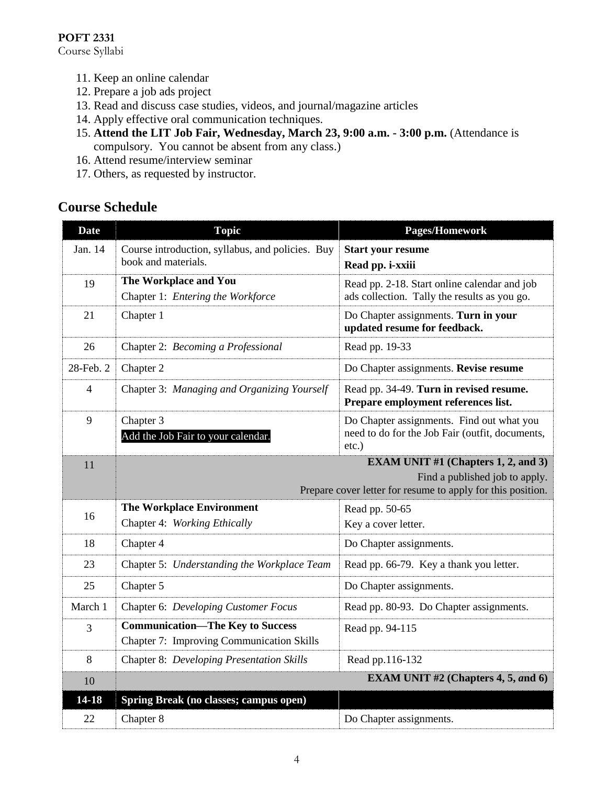#### **POFT 2331**

Course Syllabi

- 11. Keep an online calendar
- 12. Prepare a job ads project
- 13. Read and discuss case studies, videos, and journal/magazine articles
- 14. Apply effective oral communication techniques.
- 15. **Attend the LIT Job Fair, Wednesday, March 23, 9:00 a.m. - 3:00 p.m.** (Attendance is compulsory. You cannot be absent from any class.)
- 16. Attend resume/interview seminar
- 17. Others, as requested by instructor.

### **Course Schedule**

| <b>Date</b>    | <b>Topic</b>                                                                                                                                | Pages/Homework                                                                                           |
|----------------|---------------------------------------------------------------------------------------------------------------------------------------------|----------------------------------------------------------------------------------------------------------|
| Jan. 14        | Course introduction, syllabus, and policies. Buy<br>book and materials.                                                                     | <b>Start your resume</b><br>Read pp. i-xxiii                                                             |
| 19             | The Workplace and You<br>Chapter 1: Entering the Workforce                                                                                  | Read pp. 2-18. Start online calendar and job<br>ads collection. Tally the results as you go.             |
| 21             | Chapter 1                                                                                                                                   | Do Chapter assignments. Turn in your<br>updated resume for feedback.                                     |
| 26             | Chapter 2: Becoming a Professional                                                                                                          | Read pp. 19-33                                                                                           |
| 28-Feb. 2      | Chapter 2                                                                                                                                   | Do Chapter assignments. Revise resume                                                                    |
| $\overline{4}$ | Chapter 3: Managing and Organizing Yourself                                                                                                 | Read pp. 34-49. Turn in revised resume.<br>Prepare employment references list.                           |
| 9              | Chapter 3<br>Add the Job Fair to your calendar.                                                                                             | Do Chapter assignments. Find out what you<br>need to do for the Job Fair (outfit, documents,<br>$etc.$ ) |
| 11             | <b>EXAM UNIT #1 (Chapters 1, 2, and 3)</b><br>Find a published job to apply.<br>Prepare cover letter for resume to apply for this position. |                                                                                                          |
| 16             | <b>The Workplace Environment</b><br>Chapter 4: Working Ethically                                                                            | Read pp. 50-65<br>Key a cover letter.                                                                    |
| 18             | Chapter 4                                                                                                                                   | Do Chapter assignments.                                                                                  |
| 23             | Chapter 5: Understanding the Workplace Team                                                                                                 | Read pp. 66-79. Key a thank you letter.                                                                  |
| 25             | Chapter 5                                                                                                                                   | Do Chapter assignments.                                                                                  |
| March 1        | Chapter 6: Developing Customer Focus                                                                                                        | Read pp. 80-93. Do Chapter assignments.                                                                  |
| 3              | <b>Communication-The Key to Success</b><br>Chapter 7: Improving Communication Skills                                                        | Read pp. 94-115                                                                                          |
| 8              | <b>Chapter 8: Developing Presentation Skills</b>                                                                                            | Read pp.116-132                                                                                          |
| 10             |                                                                                                                                             | <b>EXAM UNIT #2 (Chapters 4, 5, and 6)</b>                                                               |
| 14-18          | Spring Break (no classes; campus open)                                                                                                      |                                                                                                          |
| 22             | Chapter 8                                                                                                                                   | Do Chapter assignments.                                                                                  |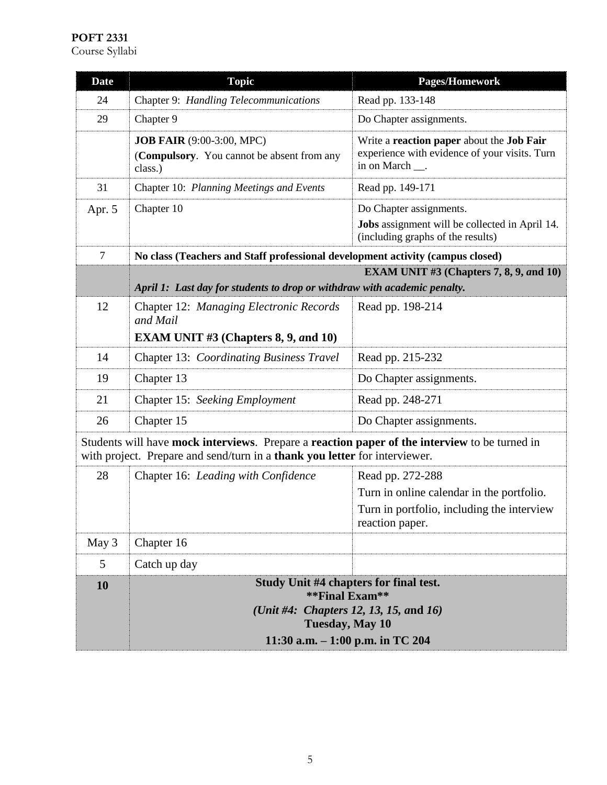| <b>Date</b>                                                                                                                                                                 | <b>Topic</b>                                                                                                                                                      | <b>Pages/Homework</b>                                                                                          |
|-----------------------------------------------------------------------------------------------------------------------------------------------------------------------------|-------------------------------------------------------------------------------------------------------------------------------------------------------------------|----------------------------------------------------------------------------------------------------------------|
| 24                                                                                                                                                                          | Chapter 9: Handling Telecommunications                                                                                                                            | Read pp. 133-148                                                                                               |
| 29                                                                                                                                                                          | Chapter 9                                                                                                                                                         | Do Chapter assignments.                                                                                        |
|                                                                                                                                                                             | <b>JOB FAIR</b> (9:00-3:00, MPC)<br>(Compulsory. You cannot be absent from any<br>class.)                                                                         | Write a reaction paper about the Job Fair<br>experience with evidence of your visits. Turn<br>in on March __.  |
| 31                                                                                                                                                                          | Chapter 10: Planning Meetings and Events                                                                                                                          | Read pp. 149-171                                                                                               |
| Apr. 5                                                                                                                                                                      | Chapter 10                                                                                                                                                        | Do Chapter assignments.<br>Jobs assignment will be collected in April 14.<br>(including graphs of the results) |
| $\overline{7}$                                                                                                                                                              | No class (Teachers and Staff professional development activity (campus closed)                                                                                    |                                                                                                                |
|                                                                                                                                                                             |                                                                                                                                                                   | EXAM UNIT $#3$ (Chapters 7, 8, 9, and 10)                                                                      |
|                                                                                                                                                                             | April 1: Last day for students to drop or withdraw with academic penalty.                                                                                         |                                                                                                                |
| 12                                                                                                                                                                          | Chapter 12: Managing Electronic Records<br>and Mail<br><b>EXAM UNIT #3 (Chapters 8, 9, and 10)</b>                                                                | Read pp. 198-214                                                                                               |
| 14                                                                                                                                                                          | Chapter 13: Coordinating Business Travel                                                                                                                          | Read pp. 215-232                                                                                               |
| 19                                                                                                                                                                          | Chapter 13                                                                                                                                                        | Do Chapter assignments.                                                                                        |
| 21                                                                                                                                                                          | Chapter 15: Seeking Employment                                                                                                                                    | Read pp. 248-271                                                                                               |
| 26                                                                                                                                                                          | Chapter 15                                                                                                                                                        | Do Chapter assignments.                                                                                        |
| Students will have mock interviews. Prepare a reaction paper of the interview to be turned in<br>with project. Prepare and send/turn in a thank you letter for interviewer. |                                                                                                                                                                   |                                                                                                                |
| 28                                                                                                                                                                          | Chapter 16: Leading with Confidence                                                                                                                               | Read pp. 272-288                                                                                               |
|                                                                                                                                                                             |                                                                                                                                                                   | Turn in online calendar in the portfolio.<br>Turn in portfolio, including the interview<br>reaction paper.     |
| May 3                                                                                                                                                                       | Chapter 16                                                                                                                                                        |                                                                                                                |
| 5                                                                                                                                                                           | Catch up day                                                                                                                                                      |                                                                                                                |
| 10                                                                                                                                                                          | Study Unit #4 chapters for final test.<br>**Final Exam**<br>(Unit #4: Chapters 12, 13, 15, and 16)<br><b>Tuesday, May 10</b><br>11:30 a.m. $-1:00$ p.m. in TC 204 |                                                                                                                |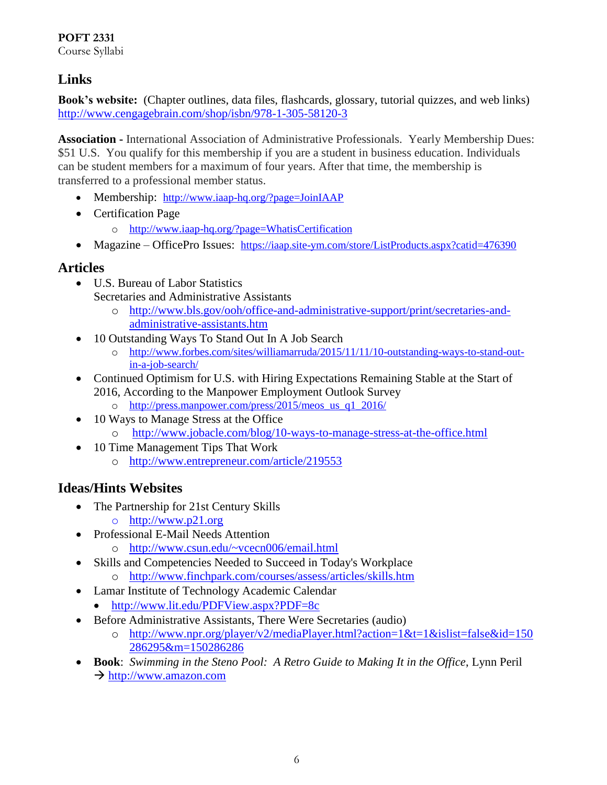## **Links**

**Book's website:** (Chapter outlines, data files, flashcards, glossary, tutorial quizzes, and web links) <http://www.cengagebrain.com/shop/isbn/978-1-305-58120-3>

**Association -** International Association of Administrative Professionals. Yearly Membership Dues: \$51 U.S. You qualify for this membership if you are a student in business education. Individuals can be student members for a maximum of four years. After that time, the membership is transferred to a professional member status.

- Membership: <http://www.iaap-hq.org/?page=JoinIAAP>
- Certification Page
	- o <http://www.iaap-hq.org/?page=WhatisCertification>
- Magazine OfficePro Issues: <https://iaap.site-ym.com/store/ListProducts.aspx?catid=476390>

### **Articles**

- U.S. Bureau of Labor Statistics Secretaries and Administrative Assistants
	- o [http://www.bls.gov/ooh/office-and-administrative-support/print/secretaries-and](http://www.bls.gov/ooh/office-and-administrative-support/print/secretaries-and-administrative-assistants.htm)[administrative-assistants.htm](http://www.bls.gov/ooh/office-and-administrative-support/print/secretaries-and-administrative-assistants.htm)
- 10 Outstanding Ways To Stand Out In A Job Search
	- o [http://www.forbes.com/sites/williamarruda/2015/11/11/10-outstanding-ways-to-stand-out](http://www.forbes.com/sites/williamarruda/2015/11/11/10-outstanding-ways-to-stand-out-in-a-job-search/)[in-a-job-search/](http://www.forbes.com/sites/williamarruda/2015/11/11/10-outstanding-ways-to-stand-out-in-a-job-search/)
- Continued Optimism for U.S. with Hiring Expectations Remaining Stable at the Start of 2016, According to the Manpower Employment Outlook Survey
	- o [http://press.manpower.com/press/2015/meos\\_us\\_q1\\_2016/](http://press.manpower.com/press/2015/meos_us_q1_2016/)
- 10 Ways to Manage Stress at the Office
	- o <http://www.jobacle.com/blog/10-ways-to-manage-stress-at-the-office.html>
- 10 Time Management Tips That Work
	- o <http://www.entrepreneur.com/article/219553>

### **Ideas/Hints Websites**

- The Partnership for 21st Century Skills
	- o [http://www.p21.org](http://www.p21.org/)
- Professional E-Mail Needs Attention
	- o <http://www.csun.edu/~vcecn006/email.html>
- Skills and Competencies Needed to Succeed in Today's Workplace
	- o <http://www.finchpark.com/courses/assess/articles/skills.htm>
- Lamar Institute of Technology Academic Calendar
	- <http://www.lit.edu/PDFView.aspx?PDF=8c>
- Before Administrative Assistants, There Were Secretaries (audio)
	- o [http://www.npr.org/player/v2/mediaPlayer.html?action=1&t=1&islist=false&id=150](http://www.npr.org/player/v2/mediaPlayer.html?action=1&t=1&islist=false&id=150286295&m=150286286) [286295&m=150286286](http://www.npr.org/player/v2/mediaPlayer.html?action=1&t=1&islist=false&id=150286295&m=150286286)
- **Book**: *Swimming in the Steno Pool: A Retro Guide to Making It in the Office*, Lynn Peril  $\rightarrow$  [http://www.amazon.com](http://www.amazon.com/)